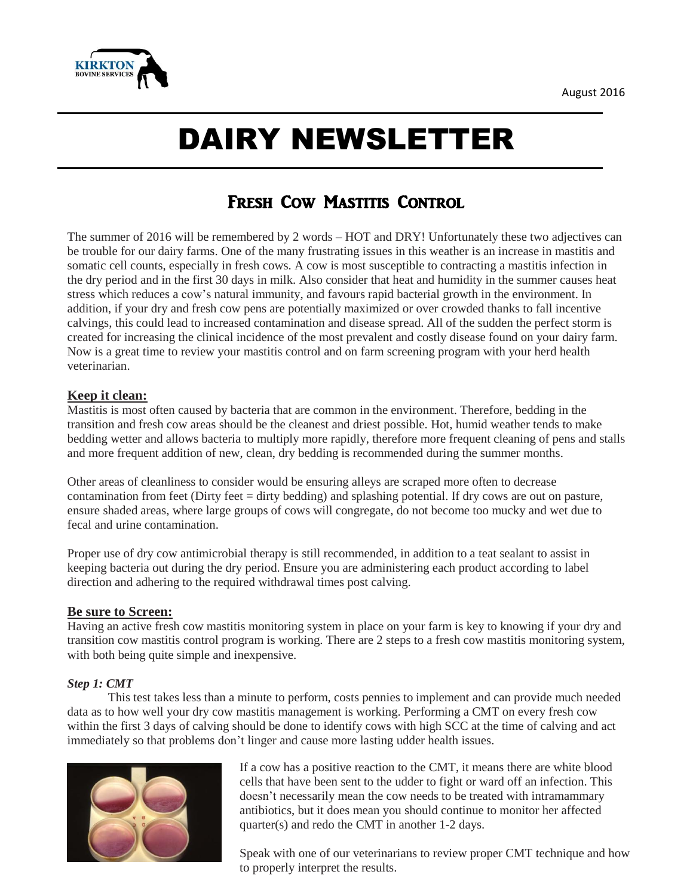

# DAIRY NEWSLETTER

# FRESH COW MASTITIS CONTROL

The summer of 2016 will be remembered by 2 words – HOT and DRY! Unfortunately these two adjectives can be trouble for our dairy farms. One of the many frustrating issues in this weather is an increase in mastitis and somatic cell counts, especially in fresh cows. A cow is most susceptible to contracting a mastitis infection in the dry period and in the first 30 days in milk. Also consider that heat and humidity in the summer causes heat stress which reduces a cow's natural immunity, and favours rapid bacterial growth in the environment. In addition, if your dry and fresh cow pens are potentially maximized or over crowded thanks to fall incentive calvings, this could lead to increased contamination and disease spread. All of the sudden the perfect storm is created for increasing the clinical incidence of the most prevalent and costly disease found on your dairy farm. Now is a great time to review your mastitis control and on farm screening program with your herd health veterinarian.

## **Keep it clean:**

Mastitis is most often caused by bacteria that are common in the environment. Therefore, bedding in the transition and fresh cow areas should be the cleanest and driest possible. Hot, humid weather tends to make bedding wetter and allows bacteria to multiply more rapidly, therefore more frequent cleaning of pens and stalls and more frequent addition of new, clean, dry bedding is recommended during the summer months.

Other areas of cleanliness to consider would be ensuring alleys are scraped more often to decrease contamination from feet (Dirty feet = dirty bedding) and splashing potential. If dry cows are out on pasture, ensure shaded areas, where large groups of cows will congregate, do not become too mucky and wet due to fecal and urine contamination.

Proper use of dry cow antimicrobial therapy is still recommended, in addition to a teat sealant to assist in keeping bacteria out during the dry period. Ensure you are administering each product according to label direction and adhering to the required withdrawal times post calving.

## **Be sure to Screen:**

Having an active fresh cow mastitis monitoring system in place on your farm is key to knowing if your dry and transition cow mastitis control program is working. There are 2 steps to a fresh cow mastitis monitoring system, with both being quite simple and inexpensive.

## *Step 1: CMT*

This test takes less than a minute to perform, costs pennies to implement and can provide much needed data as to how well your dry cow mastitis management is working. Performing a CMT on every fresh cow within the first 3 days of calving should be done to identify cows with high SCC at the time of calving and act immediately so that problems don't linger and cause more lasting udder health issues.



If a cow has a positive reaction to the CMT, it means there are white blood cells that have been sent to the udder to fight or ward off an infection. This doesn't necessarily mean the cow needs to be treated with intramammary antibiotics, but it does mean you should continue to monitor her affected quarter(s) and redo the CMT in another 1-2 days.

Speak with one of our veterinarians to review proper CMT technique and how to properly interpret the results.